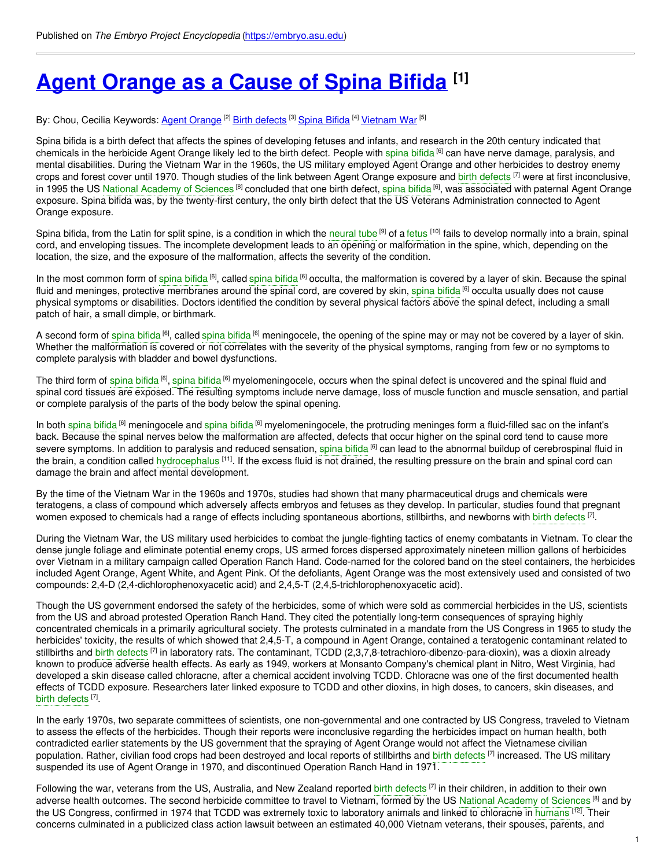# **Agent [Orange](https://embryo.asu.edu/pages/agent-orange-cause-spina-bifida) as a Cause of Spina Bifida [1]**

By: Chou, Cecilia Keywords: <u>Agent [Orange](https://embryo.asu.edu/keywords/agent-orange) <sup>[2]</sup> Birth [defects](https://embryo.asu.edu/keywords/birth-defects)</u> <sup>[3]</sup> [Spina](https://embryo.asu.edu/keywords/spina-bifida) Bifida <sup>[4]</sup> <u>[Vietnam](https://embryo.asu.edu/keywords/vietnam-war) War <sup>[5]</sup> </u>

Spina bifida is a birth defect that affects the spines of developing fetuses and infants, and research in the 20th century indicated that chemicals in the herbicide Agent Orange likely led to the birth defect. People with s<mark>pina bifida <sup>[6]</sup> can have nerve damage, paralysis, and</mark> mental disabilities. During the Vietnam War in the 1960s, the US military employed Agent Orange and other herbicides to destroy enemy crops and forest cover until 1970. Though studies of the link between Agent Orange exposure and birth [defects](https://embryo.asu.edu/search?text=birth%20defects) <sup>[7]</sup> were at first inconclusive, in 1995 the US National [Academy](https://embryo.asu.edu/search?text=National%20Academy%20of%20Sciences) of Sciences <sup>[8]</sup> concluded that one birth defect, [spina](https://embryo.asu.edu/search?text=spina%20bifida) bifida <sup>[6]</sup>, was associated with paternal Agent Orange exposure. Spina bifida was, by the twenty-first century, the only birth defect that the US Veterans Administration connected to Agent Orange exposure.

Spina bifida, from the Latin for split spine, is a condition in which the [neural](https://embryo.asu.edu/search?text=neural%20tube) tube <sup>[9]</sup> of a [fetus](https://embryo.asu.edu/search?text=fetus) <sup>[10]</sup> fails to develop normally into a brain, spinal cord, and enveloping tissues. The incomplete development leads to an opening or malformation in the spine, which, depending on the location, the size, and the exposure of the malformation, affects the severity of the condition.

In the most common form of [spina](https://embryo.asu.edu/search?text=spina%20bifida) bifida <sup>[6]</sup>, called spina bifida <sup>[6]</sup> occulta, the malformation is covered by a layer of skin. Because the spinal fluid and meninges, protective membranes around the [spina](https://embryo.asu.edu/search?text=spina%20bifida)l cord, are covered by skin, spina bifida <sup>[6]</sup> occulta usually does not cause physical symptoms or disabilities. Doctors identified the condition by several physical factors above the spinal defect, including a small patch of hair, a small dimple, or birthmark.

A second form of [spina](https://embryo.asu.edu/search?text=spina%20bifida) bifida <sup>[6]</sup>, called spina bifida <sup>[6]</sup> meningocele, the opening of the spine may or may not be covered by a layer of skin. Whether the malformation is covered or not correlates with the severity of the physical symptoms, ranging from few or no symptoms to complete paralysis with bladder and bowel dysfunctions.

The third form of [spina](https://embryo.asu.edu/search?text=spina%20bifida) bifida <sup>[6]</sup>, spina bifida <sup>[6]</sup> myelomeningocele, occurs when the spinal defect is uncovered and the spinal fluid and spinal cord tissues are exposed. The resulting symptoms include nerve damage, loss of muscle function and muscle sensation, and partial or complete paralysis of the parts of the body below the spinal opening.

In both [spina](https://embryo.asu.edu/search?text=spina%20bifida) bifida <sup>[6]</sup> meningocele and spina bifida <sup>[6]</sup> myelomeningocele, the protruding meninges form a fluid-filled sac on the infant's back. Because the spinal nerves below the malformation are affected, defects that occur higher on the spinal cord tend to cause more severe symptoms. In addition to paralysis and reduced sensation, [spina](https://embryo.asu.edu/search?text=spina%20bifida) bifida <sup>[6]</sup> can lead to the abnormal buildup of cerebrospinal fluid in the brain, a condition called [hydrocephalus](https://embryo.asu.edu/search?text=hydrocephalus) <sup>[11]</sup>. If the excess fluid is not drained, the resulting pressure on the brain and spinal cord can damage the brain and affect mental development.

By the time of the Vietnam War in the 1960s and 1970s, studies had shown that many pharmaceutical drugs and chemicals were teratogens, a class of compound which adversely affects embryos and fetuses as they develop. In particular, studies found that pregnant women exposed to chemicals had a range of effects including spontaneous abortions, stillbirths, and newborns with birth [defects](https://embryo.asu.edu/search?text=birth%20defects) <sup>[7]</sup>.

During the Vietnam War, the US military used herbicides to combat the jungle-fighting tactics of enemy combatants in Vietnam. To clear the dense jungle foliage and eliminate potential enemy crops, US armed forces dispersed approximately nineteen million gallons of herbicides over Vietnam in a military campaign called Operation Ranch Hand. Code-named for the colored band on the steel containers, the herbicides included Agent Orange, Agent White, and Agent Pink. Of the defoliants, Agent Orange was the most extensively used and consisted of two compounds: 2,4-D (2,4-dichlorophenoxyacetic acid) and 2,4,5-T (2,4,5-trichlorophenoxyacetic acid).

Though the US government endorsed the safety of the herbicides, some of which were sold as commercial herbicides in the US, scientists from the US and abroad protested Operation Ranch Hand. They cited the potentially long-term consequences of spraying highly concentrated chemicals in a primarily agricultural society. The protests culminated in a mandate from the US Congress in 1965 to study the herbicides' toxicity, the results of which showed that 2,4,5-T, a compound in Agent Orange, contained a teratogenic contaminant related to stillbirths and birth [defects](https://embryo.asu.edu/search?text=birth%20defects) <sup>[7]</sup> in laboratory rats. The contaminant, TCDD (2,3,7,8-tetrachloro-dibenzo-para-dioxin), was a dioxin already known to produce adverse health effects. As early as 1949, workers at Monsanto Company's chemical plant in Nitro, West Virginia, had developed a skin disease called chloracne, after a chemical accident involving TCDD. Chloracne was one of the first documented health effects of TCDD exposure. Researchers later linked exposure to TCDD and other dioxins, in high doses, to cancers, skin diseases, and birth [defects](https://embryo.asu.edu/search?text=birth%20defects)<sup>[7]</sup>.

In the early 1970s, two separate committees of scientists, one non-governmental and one contracted by US Congress, traveled to Vietnam to assess the effects of the herbicides. Though their reports were inconclusive regarding the herbicides impact on human health, both contradicted earlier statements by the US government that the spraying of Agent Orange would not affect the Vietnamese civilian population. Rather, civilian food crops had been destroyed and local reports of stillbirths and birth [defects](https://embryo.asu.edu/search?text=birth%20defects) [7] increased. The US military suspended its use of Agent Orange in 1970, and discontinued Operation Ranch Hand in 1971.

Following the war, veterans from the US, Australia, and New Zealand reported birth [defects](https://embryo.asu.edu/search?text=birth%20defects) [7] in their children, in addition to their own adverse health outcomes. The second herbicide committee to travel to Vietnam, formed by the US National [Academy](https://embryo.asu.edu/search?text=National%20Academy%20of%20Sciences) of Sciences <sup>[8]</sup> and by the US Congress, confirmed in 1974 that TCDD was extremely toxic to laboratory animals and linked to chloracne in [humans](https://embryo.asu.edu/search?text=humans) [12]. Their concerns culminated in a publicized class action lawsuit between an estimated 40,000 Vietnam veterans, their spouses, parents, and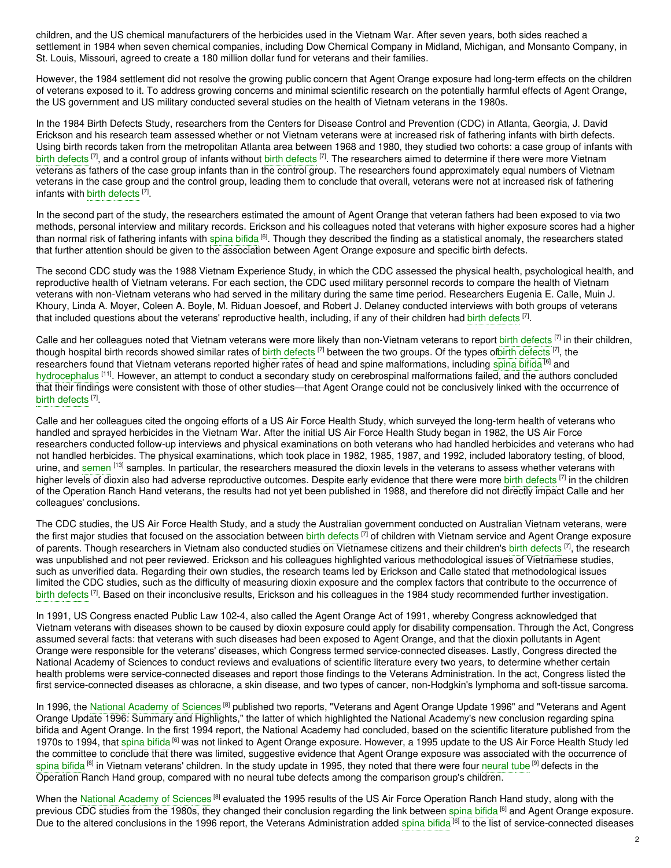children, and the US chemical manufacturers of the herbicides used in the Vietnam War. After seven years, both sides reached a settlement in 1984 when seven chemical companies, including Dow Chemical Company in Midland, Michigan, and Monsanto Company, in St. Louis, Missouri, agreed to create a 180 million dollar fund for veterans and their families.

However, the 1984 settlement did not resolve the growing public concern that Agent Orange exposure had long-term effects on the children of veterans exposed to it. To address growing concerns and minimal scientific research on the potentially harmful effects of Agent Orange, the US government and US military conducted several studies on the health of Vietnam veterans in the 1980s.

In the 1984 Birth Defects Study, researchers from the Centers for Disease Control and Prevention (CDC) in Atlanta, Georgia, J. David Erickson and his research team assessed whether or not Vietnam veterans were at increased risk of fathering infants with birth defects. Using birth records taken from the metropolitan Atlanta area between 1968 and 1980, they studied two cohorts: a case group of infants with birth [defects](https://embryo.asu.edu/search?text=birth%20defects) <sup>[7]</sup>, and a control group of infants without birth defects <sup>[7]</sup>. The researchers aimed to determine if there were more Vietnam veterans as fathers of the case group infants than in the control group. The researchers found approximately equal numbers of Vietnam veterans in the case group and the control group, leading them to conclude that overall, veterans were not at increased risk of fathering infants with birth [defects](https://embryo.asu.edu/search?text=birth%20defects) [7].

In the second part of the study, the researchers estimated the amount of Agent Orange that veteran fathers had been exposed to via two methods, personal interview and military records. Erickson and his colleagues noted that veterans with higher exposure scores had a higher than normal risk of fathering infants with [spina](https://embryo.asu.edu/search?text=spina%20bifida) bifida <sup>[6]</sup>. Though they described the finding as a statistical anomaly, the researchers stated that further attention should be given to the association between Agent Orange exposure and specific birth defects.

The second CDC study was the 1988 Vietnam Experience Study, in which the CDC assessed the physical health, psychological health, and reproductive health of Vietnam veterans. For each section, the CDC used military personnel records to compare the health of Vietnam veterans with non-Vietnam veterans who had served in the military during the same time period. Researchers Eugenia E. Calle, Muin J. Khoury, Linda A. Moyer, Coleen A. Boyle, M. Riduan Joesoef, and Robert J. Delaney conducted interviews with both groups of veterans that included questions about the veterans' reproductive health, including, if any of their children had birth [defects](https://embryo.asu.edu/search?text=birth%20defects) <sup>[7]</sup>.

Calle and her colleagues noted that Vietnam veterans were more likely than non-Vietnam veterans to report birth [defects](https://embryo.asu.edu/search?text=birth%20defects) <sup>[7]</sup> in their children, though hospital birth records showed similar rates of birth [defects](https://embryo.asu.edu/search?text=birth%20defects) <sup>[7]</sup> between the two groups. Of the types ofbirth defects <sup>[7]</sup>, the researchers found that Vietnam veterans reported higher rates of head and spine malformations, including [spina](https://embryo.asu.edu/search?text=spina%20bifida) bifida <sup>[6]</sup> and [hydrocephalus](https://embryo.asu.edu/search?text=hydrocephalus) <sup>[11]</sup>. However, an attempt to conduct a secondary study on cerebrospinal malformations failed, and the authors concluded that their findings were consistent with those of other studies—that Agent Orange could not be conclusively linked with the occurrence of birth [defects](https://embryo.asu.edu/search?text=birth%20defects)<sup>[7]</sup>.

Calle and her colleagues cited the ongoing efforts of a US Air Force Health Study, which surveyed the long-term health of veterans who handled and sprayed herbicides in the Vietnam War. After the initial US Air Force Health Study began in 1982, the US Air Force researchers conducted follow-up interviews and physical examinations on both veterans who had handled herbicides and veterans who had not handled herbicides. The physical examinations, which took place in 1982, 1985, 1987, and 1992, included laboratory testing, of blood, urine, and [semen](https://embryo.asu.edu/search?text=semen) <sup>[13]</sup> samples. In particular, the researchers measured the dioxin levels in the veterans to assess whether veterans with higher levels of dioxin also had adverse reproductive outcomes. Despite early evidence that there were more birth [defects](https://embryo.asu.edu/search?text=birth%20defects) <sup>[7]</sup> in the children of the Operation Ranch Hand veterans, the results had not yet been published in 1988, and therefore did not directly impact Calle and her colleagues' conclusions.

The CDC studies, the US Air Force Health Study, and a study the Australian government conducted on Australian Vietnam veterans, were the first major studies that focused on the association between birth [defects](https://embryo.asu.edu/search?text=birth%20defects) <sup>[7]</sup> of children with Vietnam service and Agent Orange exposure of parents. Though researchers in Vietnam also conducted studies on Vietnamese citizens and their children's birth [defects](https://embryo.asu.edu/search?text=birth%20defects) <sup>[7]</sup>, the research was unpublished and not peer reviewed. Erickson and his colleagues highlighted various methodological issues of Vietnamese studies, such as unverified data. Regarding their own studies, the research teams led by Erickson and Calle stated that methodological issues limited the CDC studies, such as the difficulty of measuring dioxin exposure and the complex factors that contribute to the occurrence of birth [defects](https://embryo.asu.edu/search?text=birth%20defects) <sup>[7]</sup>. Based on their inconclusive results, Erickson and his colleagues in the 1984 study recommended further investigation.

In 1991, US Congress enacted Public Law 102-4, also called the Agent Orange Act of 1991, whereby Congress acknowledged that Vietnam veterans with diseases shown to be caused by dioxin exposure could apply for disability compensation. Through the Act, Congress assumed several facts: that veterans with such diseases had been exposed to Agent Orange, and that the dioxin pollutants in Agent Orange were responsible for the veterans' diseases, which Congress termed service-connected diseases. Lastly, Congress directed the National Academy of Sciences to conduct reviews and evaluations of scientific literature every two years, to determine whether certain health problems were service-connected diseases and report those findings to the Veterans Administration. In the act, Congress listed the first service-connected diseases as chloracne, a skin disease, and two types of cancer, non-Hodgkin's lymphoma and soft-tissue sarcoma.

In 1996, the National [Academy](https://embryo.asu.edu/search?text=National%20Academy%20of%20Sciences) of Sciences<sup>[8]</sup> published two reports, "Veterans and Agent Orange Update 1996" and "Veterans and Agent Orange Update 1996: Summary and Highlights," the latter of which highlighted the National Academy's new conclusion regarding spina bifida and Agent Orange. In the first 1994 report, the National Academy had concluded, based on the scientific literature published from the 1970s to 1994, that [spina](https://embryo.asu.edu/search?text=spina%20bifida) bifida <sup>[6]</sup> was not linked to Agent Orange exposure. However, a 1995 update to the US Air Force Health Study led the committee to conclude that there was limited, suggestive evidence that Agent Orange exposure was associated with the occurrence of [spina](https://embryo.asu.edu/search?text=spina%20bifida) bifida <sup>[6]</sup> in Vietnam veterans' children. In the study update in 1995, they noted that there were four [neural](https://embryo.asu.edu/search?text=neural%20tube) tube <sup>[9]</sup> defects in the Operation Ranch Hand group, compared with no neural tube defects among the comparison group's children.

When the National [Academy](https://embryo.asu.edu/search?text=National%20Academy%20of%20Sciences) of Sciences <sup>[8]</sup> evaluated the 1995 results of the US Air Force Operation Ranch Hand study, along with the previous CDC studies from the 1980s, they changed their conclusion regarding the link between [spina](https://embryo.asu.edu/search?text=spina%20bifida) bifida <sup>[6]</sup> and Agent Orange exposure. Due to the altered conclusions in the 1996 report, the Veterans Administration added [spina](https://embryo.asu.edu/search?text=spina%20bifida) bifida <sup>[6]</sup> to the list of service-connected diseases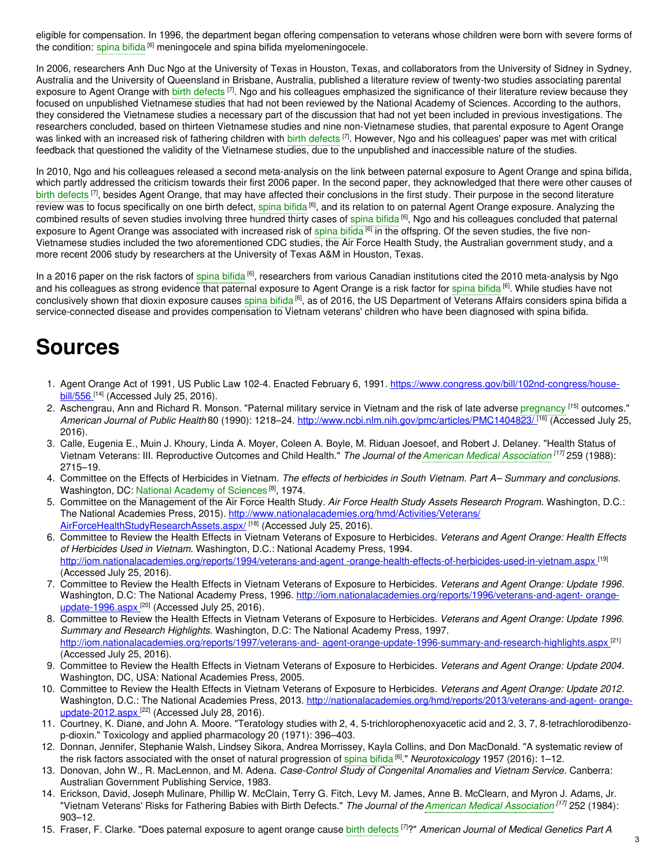eligible for compensation. In 1996, the department began offering compensation to veterans whose children were born with severe forms of the condition: [spina](https://embryo.asu.edu/search?text=spina%20bifida) bifida <sup>[6]</sup> meningocele and spina bifida myelomeningocele.

In 2006, researchers Anh Duc Ngo at the University of Texas in Houston, Texas, and collaborators from the University of Sidney in Sydney, Australia and the University of Queensland in Brisbane, Australia, published a literature review of twenty-two studies associating parental exposure to Agent Orange with birth [defects](https://embryo.asu.edu/search?text=birth%20defects) <sup>[7]</sup>. Ngo and his colleagues emphasized the significance of their literature review because they focused on unpublished Vietnamese studies that had not been reviewed by the National Academy of Sciences. According to the authors, they considered the Vietnamese studies a necessary part of the discussion that had not yet been included in previous investigations. The researchers concluded, based on thirteen Vietnamese studies and nine non-Vietnamese studies, that parental exposure to Agent Orange was linked with an increased risk of fathering children with birth [defects](https://embryo.asu.edu/search?text=birth%20defects) <sup>[7]</sup>. However, Ngo and his colleagues' paper was met with critical feedback that questioned the validity of the Vietnamese studies, due to the unpublished and inaccessible nature of the studies.

In 2010, Ngo and his colleagues released a second meta-analysis on the link between paternal exposure to Agent Orange and spina bifida, which partly addressed the criticism towards their first 2006 paper. In the second paper, they acknowledged that there were other causes of birth [defects](https://embryo.asu.edu/search?text=birth%20defects) <sup>[7]</sup>, besides Agent Orange, that may have affected their conclusions in the first study. Their purpose in the second literature review was to focus specifically on one birth defect, [spina](https://embryo.asu.edu/search?text=spina%20bifida) bifida <sup>[6]</sup>, and its relation to on paternal Agent Orange exposure. Analyzing the combined results of seven studies involving three hundred thirty cases of [spina](https://embryo.asu.edu/search?text=spina%20bifida) bifida <sup>[6]</sup>, Ngo and his colleagues concluded that paternal exposure to Agent Orange was associated with increased risk of [spina](https://embryo.asu.edu/search?text=spina%20bifida) bifida <sup>[6]</sup> in the offspring. Of the seven studies, the five non-Vietnamese studies included the two aforementioned CDC studies, the Air Force Health Study, the Australian government study, and a more recent 2006 study by researchers at the University of Texas A&M in Houston, Texas.

In a 2016 paper on the risk factors of [spina](https://embryo.asu.edu/search?text=spina%20bifida) bifida <sup>[6]</sup>, researchers from various Canadian institutions cited the 2010 meta-analysis by Ngo and his colleagues as strong evidence that paternal exposure to Agent Orange is a risk factor for [spina](https://embryo.asu.edu/search?text=spina%20bifida) bifida <sup>[6]</sup>. While studies have not conclusively shown that dioxin exposure causes [spina](https://embryo.asu.edu/search?text=spina%20bifida) bifida <sup>[6]</sup>, as of 2016, the US Department of Veterans Affairs considers spina bifida a service-connected disease and provides compensation to Vietnam veterans' children who have been diagnosed with spina bifida.

## **Sources**

- 1. Agent Orange Act of 1991, US Public Law 102-4. Enacted February 6, 1991. [https://www.congress.gov/bill/102nd-congress/house-](https://www.congress.gov/bill/102nd-congress/house-bill/556)<u>bill/556 [14]</u> (Accessed July 25, 2016).
- 2. Aschengrau, Ann and Richard R. Monson. "Paternal military service in Vietnam and the risk of late adverse [pregnancy](https://embryo.asu.edu/search?text=pregnancy) <sup>[15]</sup> outcomes." *American Journal of Public Health* 80 (1990): 1218–24. [http://www.ncbi.nlm.nih.gov/pmc/articles/PMC1404823/](https://www.ncbi.nlm.nih.gov/pmc/articles/PMC1404823/%20) [16] (Accessed July 25, 2016).
- 3. Calle, Eugenia E., Muin J. Khoury, Linda A. Moyer, Coleen A. Boyle, M. Riduan Joesoef, and Robert J. Delaney. "Health Status of Vietnam Veterans: III. Reproductive Outcomes and Child Health." *The Journal of theAmerican Medical [Association](https://embryo.asu.edu/search?text=American%20Medical%20Association) [17]* 259 (1988): 2715–19.
- 4. Committee on the Effects of Herbicides in Vietnam. *The effects of herbicides in South Vietnam. Part A– Summary and conclusions*. Washington, DC: National [Academy](https://embryo.asu.edu/search?text=National%20Academy%20of%20Sciences) of Sciences<sup>[8]</sup>, 1974.
- 5. Committee on the Management of the Air Force Health Study. *Air Force Health Study Assets Research Program*. Washington, D.C.: The National Academies Press, 2015). [http://www.nationalacademies.org/hmd/Activities/Veterans/](http://www.nationalacademies.org/hmd/Activities/Veterans/%0A%09AirForceHealthStudyResearchAssets.aspx) AirForceHealthStudyResearchAssets.aspx/ [18] (Accessed July 25, 2016).
- 6. Committee to Review the Health Effects in Vietnam Veterans of Exposure to Herbicides. *Veterans and Agent Orange: Health Effects of Herbicides Used in Vietnam*. Washington, D.C.: National Academy Press, 1994. [http://iom.nationalacademies.org/reports/1994/veterans-and-agent](http://iom.nationalacademies.org/reports/1994/veterans-and-%0A%09agent-orange-health-effects-of-herbicides-used-in-vietnam.aspx) -orange-health-effects-of-herbicides-used-in-vietnam.aspx [19] (Accessed July 25, 2016).
- 7. Committee to Review the Health Effects in Vietnam Veterans of Exposure to Herbicides. *Veterans and Agent Orange: Update 1996*. Washington, D.C: The National Academy Press, 1996. [http://iom.nationalacademies.org/reports/1996/veterans-and-agent-](http://iom.nationalacademies.org/reports/1996/veterans-and-%0A%09agent-orange-update-1996.aspx%20) orangeupdate-1996.aspx<sup>[20]</sup> (Accessed July 25, 2016).
- 8. Committee to Review the Health Effects in Vietnam Veterans of Exposure to Herbicides. *Veterans and Agent Orange: Update 1996. Summary and Research Highlights*. Washington, D.C: The National Academy Press, 1997. http://iom.nationalacademies.org/reports/1997/veterans-and- [agent-orange-update-1996-summary-and-research-highlights.aspx](http://iom.nationalacademies.org/reports/1997/veterans-and-%0A%09agent-orange-update-1996-summary-and-research-highlights.aspx%0A%09)<sup>[21]</sup> (Accessed July 25, 2016).
- 9. Committee to Review the Health Effects in Vietnam Veterans of Exposure to Herbicides. *Veterans and Agent Orange: Update 2004*. Washington, DC, USA: National Academies Press, 2005.
- 10. Committee to Review the Health Effects in Vietnam Veterans of Exposure to Herbicides. *Veterans and Agent Orange: Update 2012*. Washington, D.C.: The National Academies Press, 2013. [http://nationalacademies.org/hmd/reports/2013/veterans-and-agent-](http://nationalacademies.org/hmd/reports/2013/veterans-and-%0A%09agent-orange-update-2012.aspx%20) orangeupdate-2012.aspx<sup>[22]</sup> (Accessed July 28, 2016).
- 11. Courtney, K. Diane, and John A. Moore. "Teratology studies with 2, 4, 5-trichlorophenoxyacetic acid and 2, 3, 7, 8-tetrachlorodibenzop-dioxin." Toxicology and applied pharmacology 20 (1971): 396–403.
- 12. Donnan, Jennifer, Stephanie Walsh, Lindsey Sikora, Andrea Morrissey, Kayla Collins, and Don MacDonald. "A systematic review of the risk factors associated with the onset of natural progression of [spina](https://embryo.asu.edu/search?text=spina%20bifida) bifida [6] ." *Neurotoxicology* 1957 (2016): 1–12.
- 13. Donovan, John W., R. MacLennon, and M. Adena. *Case-Control Study of Congenital Anomalies and Vietnam Service*. Canberra: Australian Government Publishing Service, 1983.
- 14. Erickson, David, Joseph Mulinare, Phillip W. McClain, Terry G. Fitch, Levy M. James, Anne B. McClearn, and Myron J. Adams, Jr. "Vietnam Veterans' Risks for Fathering Babies with Birth Defects." *The Journal of the American Medical [Association](https://embryo.asu.edu/search?text=American%20Medical%20Association)*<sup>[17]</sup> 252 (1984): 903–12.
- 15. Fraser, F. Clarke. "Does paternal exposure to agent orange cause birth [defects](https://embryo.asu.edu/search?text=birth%20defects) [7]?" *American Journal of Medical Genetics Part A*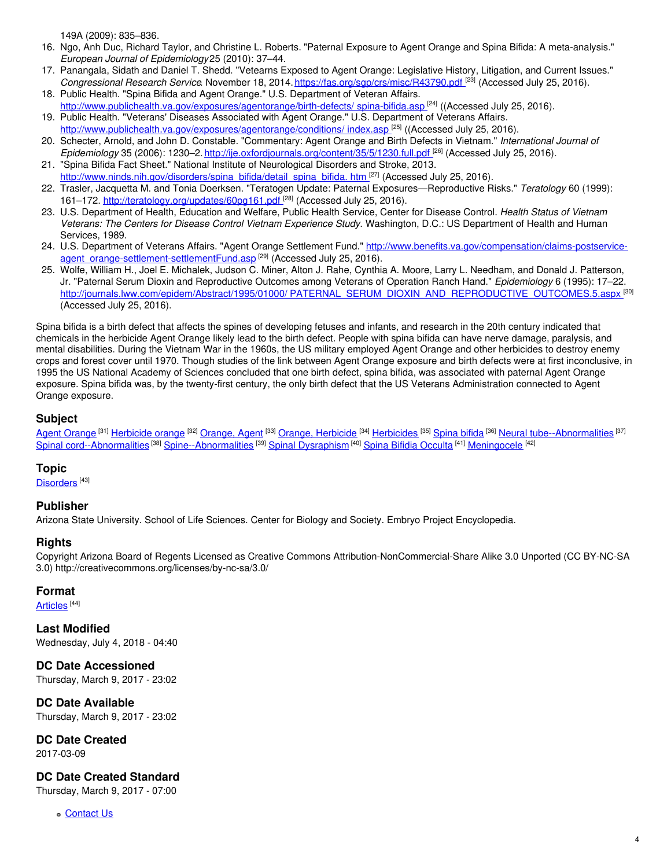149A (2009): 835–836.

- 16. Ngo, Anh Duc, Richard Taylor, and Christine L. Roberts. "Paternal Exposure to Agent Orange and Spina Bifida: A meta-analysis." *European Journal of Epidemiology*25 (2010): 37–44.
- 17. Panangala, Sidath and Daniel T. Shedd. "Vetearns Exposed to Agent Orange: Legislative History, Litigation, and Current Issues." *Congressional Research Service*. November 18, 2014. <https://fas.org/sgp/crs/misc/R43790.pdf> [23] (Accessed July 25, 2016).
- 18. Public Health. "Spina Bifida and Agent Orange." U.S. Department of Veteran Affairs. [http://www.publichealth.va.gov/exposures/agentorange/birth-defects/](https://www.publichealth.va.gov/exposures/agentorange/birth-defects/%0A%09spina-bifida.asp%20) spina-bifida.asp<sup>124</sup>l ((Accessed July 25, 2016). 19. Public Health. "Veterans' Diseases Associated with Agent Orange." U.S. Department of Veterans Affairs.
- [http://www.publichealth.va.gov/exposures/agentorange/conditions/](http://www.publichealth.va.gov/exposures/agentorange/%0A%09conditions/index.asp%20) index.asp<sup>1251</sup> ((Accessed July 25, 2016).
- 20. Schecter, Arnold, and John D. Constable. "Commentary: Agent Orange and Birth Defects in Vietnam." *International Journal of Epidemiology* 35 (2006): 1230–2. [http://ije.oxfordjournals.org/content/35/5/1230.full.pdf](http://ije.oxfordjournals.org/content/35/5/1230.full.pdf%20) [26] (Accessed July 25, 2016).
- 21. "Spina Bifida Fact Sheet." National Institute of Neurological Disorders and Stroke, 2013. [http://www.ninds.nih.gov/disorders/spina\\_bifida/detail\\_spina\\_bifida.](http://www.ninds.nih.gov/disorders/spina_bifida/%0A%09detail_spina_bifida.htm%20%20) htm [27] (Accessed July 25, 2016).
- 22. Trasler, Jacquetta M. and Tonia Doerksen. "Teratogen Update: Paternal Exposures—Reproductive Risks." *Teratology* 60 (1999): 161–172. [http://teratology.org/updates/60pg161.pdf](http://teratology.org/updates/60pg161.pdf%20%0A%09)<sup>[28]</sup> (Accessed July 25, 2016).
- 23. U.S. Department of Health, Education and Welfare, Public Health Service, Center for Disease Control. *Health Status of Vietnam Veterans: The Centers for Disease Control Vietnam Experience Study*. Washington, D.C.: US Department of Health and Human Services, 1989.
- 24. U.S. Department of Veterans Affairs. "Agent Orange Settlement Fund." [http://www.benefits.va.gov/compensation/claims-postservice](http://www.benefits.va.gov/compensation/claims-postservice-%0A%09agent_orange-settlement-settlementFund.asp%20)agent\_orange-settlement-settlementFund.asp<sup>[29]</sup> (Accessed July 25, 2016).
- 25. Wolfe, William H., Joel E. Michalek, Judson C. Miner, Alton J. Rahe, Cynthia A. Moore, Larry L. Needham, and Donald J. Patterson, Jr. "Paternal Serum Dioxin and Reproductive Outcomes among Veterans of Operation Ranch Hand." *Epidemiology* 6 (1995): 17–22. http://journals.lww.com/epidem/Abstract/1995/01000/ [PATERNAL\\_SERUM\\_DIOXIN\\_AND\\_REPRODUCTIVE\\_OUTCOMES.5.aspx](http://journals.lww.com/epidem/Abstract/1995/01000/%0A%09PATERNAL_SERUM_DIOXIN_AND_REPRODUCTIVE_OUTCOMES.5.aspx%20)<sup>\_[30]</sup> (Accessed July 25, 2016).

Spina bifida is a birth defect that affects the spines of developing fetuses and infants, and research in the 20th century indicated that chemicals in the herbicide Agent Orange likely lead to the birth defect. People with spina bifida can have nerve damage, paralysis, and mental disabilities. During the Vietnam War in the 1960s, the US military employed Agent Orange and other herbicides to destroy enemy crops and forest cover until 1970. Though studies of the link between Agent Orange exposure and birth defects were at first inconclusive, in 1995 the US National Academy of Sciences concluded that one birth defect, spina bifida, was associated with paternal Agent Orange exposure. Spina bifida was, by the twenty-first century, the only birth defect that the US Veterans Administration connected to Agent Orange exposure.

#### **Subject**

Agent [Orange](https://embryo.asu.edu/library-congress-subject-headings/agent-orange) <sup>[31]</sup> [Herbicide](https://embryo.asu.edu/library-congress-subject-headings/orange-herbicide) orange <sup>[32]</sup> [Orange,](https://embryo.asu.edu/library-congress-subject-headings/orange-agent) Agent <sup>[33]</sup> Orange, Herbicide <sup>[34]</sup> [Herbicides](https://embryo.asu.edu/library-congress-subject-headings/herbicides) <sup>[35]</sup> [Spina](https://embryo.asu.edu/library-congress-subject-headings/spina-bifida) bifida <sup>[36]</sup> Neural [tube--Abnormalities](https://embryo.asu.edu/library-congress-subject-headings/neural-tube-abnormalities) <sup>[37]</sup> Spinal [cord--Abnormalities](https://embryo.asu.edu/library-congress-subject-headings/spinal-cord-abnormalities) <sup>[38]</sup> [Spine--Abnormalities](https://embryo.asu.edu/library-congress-subject-headings/spine-abnormalities) <sup>[39]</sup> Spinal [Dysraphism](https://embryo.asu.edu/medical-subject-headings/spinal-dysraphism) <sup>[40]</sup> Spina Bifidia [Occulta](https://embryo.asu.edu/medical-subject-headings/spina-bifidia-occulta) <sup>[41]</sup> [Meningocele](https://embryo.asu.edu/medical-subject-headings/meningocele) <sup>[42]</sup>

#### **Topic**

[Disorders](https://embryo.asu.edu/topics/disorders)<sup>[43]</sup>

#### **Publisher**

Arizona State University. School of Life Sciences. Center for Biology and Society. Embryo Project Encyclopedia.

#### **Rights**

Copyright Arizona Board of Regents Licensed as Creative Commons Attribution-NonCommercial-Share Alike 3.0 Unported (CC BY-NC-SA 3.0) http://creativecommons.org/licenses/by-nc-sa/3.0/

#### **Format**

<u>[Articles](https://embryo.asu.edu/formats/articles)</u> [44]

**Last Modified** Wednesday, July 4, 2018 - 04:40

**DC Date Accessioned** Thursday, March 9, 2017 - 23:02

**DC Date Available** Thursday, March 9, 2017 - 23:02

**DC Date Created** 2017-03-09

### **DC Date Created Standard**

Thursday, March 9, 2017 - 07:00

[Contact](https://embryo.asu.edu/contact) Us